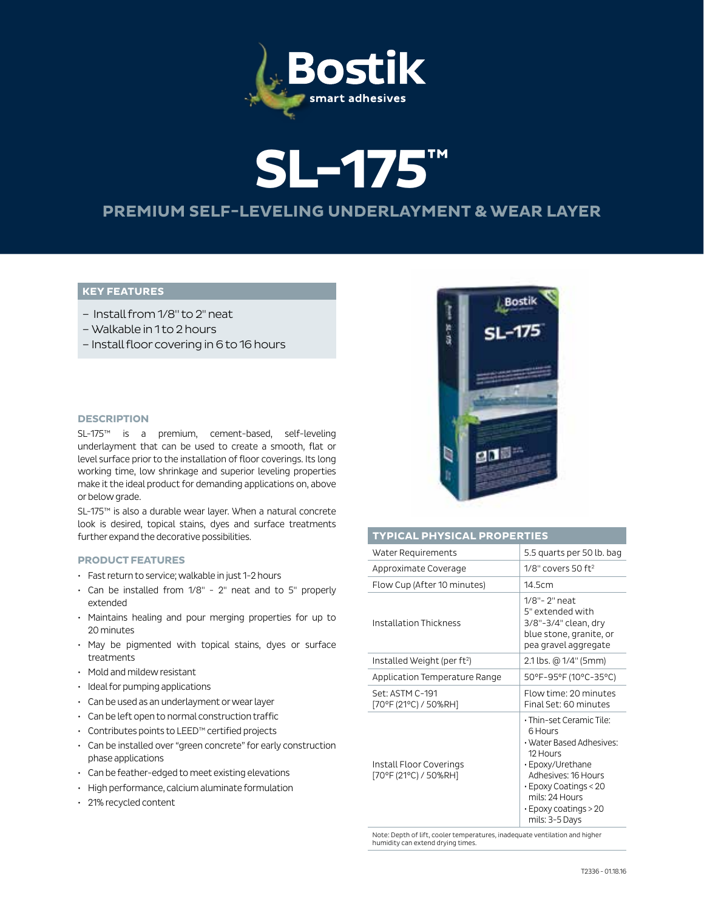

# **SL-175™ PREMIUM SELF-LEVELING UNDERLAYMENT & WEAR LAYER**

# **KEY FEATURES**

- Install from 1/8" to 2" neat
- –Walkable in 1 to 2 hours
- Install floor covering in 6 to 16 hours

### **DESCRIPTION**

SL-175™ is a premium, cement-based, self-leveling underlayment that can be used to create a smooth, flat or level surface prior to the installation of floor coverings. Its long working time, low shrinkage and superior leveling properties make it the ideal product for demanding applications on, above or below grade.

SL-175™ is also a durable wear layer. When a natural concrete look is desired, topical stains, dyes and surface treatments further expand the decorative possibilities.

#### **PRODUCT FEATURES**

- Fast return to service; walkable in just 1-2 hours
- Can be installed from 1/8" 2" neat and to 5" properly extended
- Maintains healing and pour merging properties for up to 20 minutes
- May be pigmented with topical stains, dyes or surface treatments
- Mold and mildew resistant
- Ideal for pumping applications
- Can be used as an underlayment or wear layer
- Can be left open to normal construction traffic
- Contributes points to LEED™ certified projects
- Can be installed over "green concrete" for early construction phase applications
- Can be feather-edged to meet existing elevations
- High performance, calcium aluminate formulation
- 21% recycled content



# **TYPICAL PHYSICAL PROPERTIES**

| Water Requirements                               | 5.5 quarts per 50 lb. bag                                                                                                                                                                                                |  |  |  |
|--------------------------------------------------|--------------------------------------------------------------------------------------------------------------------------------------------------------------------------------------------------------------------------|--|--|--|
| Approximate Coverage                             | $1/8"$ covers 50 ft <sup>2</sup>                                                                                                                                                                                         |  |  |  |
| Flow Cup (After 10 minutes)                      | 14.5cm                                                                                                                                                                                                                   |  |  |  |
| Installation Thickness                           | 1/8"-2" neat<br>5" extended with<br>3/8"-3/4" clean, dry<br>blue stone, granite, or<br>pea gravel aggregate                                                                                                              |  |  |  |
| Installed Weight (per ft <sup>2</sup> )          | 2.1 lbs. @ 1/4" (5mm)                                                                                                                                                                                                    |  |  |  |
| Application Temperature Range                    | 50°F-95°F (10°C-35°C)                                                                                                                                                                                                    |  |  |  |
| Set: ASTM C-191<br>[70°F (21°C) / 50%RH]         | Flow time: 20 minutes<br>Final Set: 60 minutes                                                                                                                                                                           |  |  |  |
| Install Floor Coverings<br>[70°F (21°C) / 50%RH] | · Thin-set Ceramic Tile:<br>6 Hours<br>• Water Based Adhesives:<br>12 Hours<br>· Epoxy/Urethane<br>Adhesives: 16 Hours<br>$\cdot$ Epoxy Coatings < 20<br>mils: 24 Hours<br>$\cdot$ Epoxy coatings > 20<br>mils: 3-5 Days |  |  |  |

Note: Depth of lift, cooler temperatures, inadequate ventilation and higher humidity can extend drying times.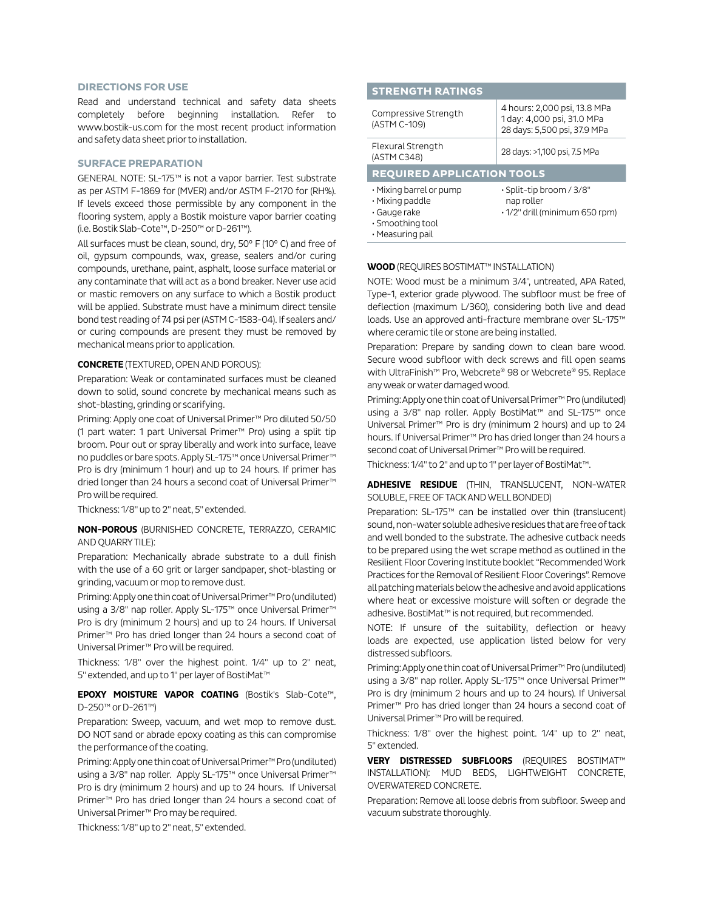#### **DIRECTIONS FOR USE**

Read and understand technical and safety data sheets completely before beginning installation. Refer to www.bostik-us.com for the most recent product information and safety data sheet prior to installation.

#### **SURFACE PREPARATION**

GENERAL NOTE: SL-175™ is not a vapor barrier. Test substrate as per ASTM F-1869 for (MVER) and/or ASTM F-2170 for (RH%). If levels exceed those permissible by any component in the flooring system, apply a Bostik moisture vapor barrier coating (i.e. Bostik Slab-Cote™, D-250™ or D-261™).

All surfaces must be clean, sound, dry, 50° F (10° C) and free of oil, gypsum compounds, wax, grease, sealers and/or curing compounds, urethane, paint, asphalt, loose surface material or any contaminate that will act as a bond breaker. Never use acid or mastic removers on any surface to which a Bostik product will be applied. Substrate must have a minimum direct tensile bond test reading of 74 psi per (ASTM C-1583-04). If sealers and/ or curing compounds are present they must be removed by mechanical means prior to application.

## **CONCRETE** (TEXTURED, OPEN AND POROUS):

Preparation: Weak or contaminated surfaces must be cleaned down to solid, sound concrete by mechanical means such as shot-blasting, grinding or scarifying.

Priming: Apply one coat of Universal Primer™ Pro diluted 50/50 (1 part water: 1 part Universal Primer™ Pro) using a split tip broom. Pour out or spray liberally and work into surface, leave no puddles or bare spots. Apply SL-175™ once Universal Primer™ Pro is dry (minimum 1 hour) and up to 24 hours. If primer has dried longer than 24 hours a second coat of Universal Primer™ Pro will be required.

Thickness: 1/8" up to 2" neat, 5" extended.

**NON-POROUS** (BURNISHED CONCRETE, TERRAZZO, CERAMIC AND QUARRY TILE):

Preparation: Mechanically abrade substrate to a dull finish with the use of a 60 grit or larger sandpaper, shot-blasting or grinding, vacuum or mop to remove dust.

Priming: Apply one thin coat of Universal Primer™ Pro (undiluted) using a 3/8" nap roller. Apply SL-175™ once Universal Primer™ Pro is dry (minimum 2 hours) and up to 24 hours. If Universal Primer™ Pro has dried longer than 24 hours a second coat of Universal Primer™ Pro will be required.

Thickness: 1/8" over the highest point. 1/4" up to 2" neat, 5" extended, and up to 1" per layer of BostiMat™

# **EPOXY MOISTURE VAPOR COATING** (Bostik's Slab-Cote™, D-250™ or D-261™)

Preparation: Sweep, vacuum, and wet mop to remove dust. DO NOT sand or abrade epoxy coating as this can compromise the performance of the coating.

Priming: Apply one thin coat of Universal Primer™ Pro (undiluted) using a 3/8" nap roller. Apply SL-175™ once Universal Primer™ Pro is dry (minimum 2 hours) and up to 24 hours. If Universal Primer™ Pro has dried longer than 24 hours a second coat of Universal Primer™ Pro may be required.

Thickness: 1/8" up to 2" neat, 5" extended.

# **STRENGTH RATINGS**

| Compressive Strength<br>(ASTM C-109)                                                                                 | 4 hours: 2,000 psi, 13.8 MPa<br>1 day: 4,000 psi, 31.0 MPa<br>28 days: 5,500 psi, 37.9 MPa |  |  |  |  |  |
|----------------------------------------------------------------------------------------------------------------------|--------------------------------------------------------------------------------------------|--|--|--|--|--|
| Flexural Strength<br>(ASTM C348)                                                                                     | 28 days: >1,100 psi, 7.5 MPa                                                               |  |  |  |  |  |
| <b>REQUIRED APPLICATION TOOLS</b>                                                                                    |                                                                                            |  |  |  |  |  |
| $\cdot$ Mixing barrel or pump<br>$\cdot$ Mixing paddle<br>$\cdot$ Gauge rake<br>· Smoothing tool<br>• Measuring pail | · Split-tip broom / 3/8"<br>nap roller<br>$\cdot$ 1/2" drill (minimum 650 rpm)             |  |  |  |  |  |

**WOOD** (REQUIRES BOSTIMAT™ INSTALLATION)

NOTE: Wood must be a minimum 3/4", untreated, APA Rated, Type-1, exterior grade plywood. The subfloor must be free of deflection (maximum L/360), considering both live and dead loads. Use an approved anti-fracture membrane over SL-175™ where ceramic tile or stone are being installed.

Preparation: Prepare by sanding down to clean bare wood. Secure wood subfloor with deck screws and fill open seams with UltraFinish™ Pro, Webcrete® 98 or Webcrete® 95. Replace any weak or water damaged wood.

Priming: Apply one thin coat of Universal Primer™ Pro (undiluted) using a 3/8" nap roller. Apply BostiMat™ and SL-175™ once Universal Primer™ Pro is dry (minimum 2 hours) and up to 24 hours. If Universal Primer™ Pro has dried longer than 24 hours a second coat of Universal Primer™ Pro will be required.

Thickness: 1/4" to 2" and up to 1" per layer of BostiMat™.

**ADHESIVE RESIDUE** (THIN, TRANSLUCENT, NON-WATER SOLUBLE, FREE OF TACK AND WELL BONDED)

Preparation: SL-175™ can be installed over thin (translucent) sound, non-water soluble adhesive residues that are free of tack and well bonded to the substrate. The adhesive cutback needs to be prepared using the wet scrape method as outlined in the Resilient Floor Covering Institute booklet "Recommended Work Practices for the Removal of Resilient Floor Coverings". Remove all patching materials below the adhesive and avoid applications where heat or excessive moisture will soften or degrade the adhesive. BostiMat™ is not required, but recommended.

NOTE: If unsure of the suitability, deflection or heavy loads are expected, use application listed below for very distressed subfloors.

Priming: Apply one thin coat of Universal Primer™ Pro (undiluted) using a 3/8" nap roller. Apply SL-175™ once Universal Primer™ Pro is dry (minimum 2 hours and up to 24 hours). If Universal Primer™ Pro has dried longer than 24 hours a second coat of Universal Primer™ Pro will be required.

Thickness: 1/8" over the highest point. 1/4" up to 2" neat, 5" extended.

**VERY DISTRESSED SUBFLOORS** (REQUIRES BOSTIMAT™ INSTALLATION): MUD BEDS, LIGHTWEIGHT CONCRETE, OVERWATERED CONCRETE.

Preparation: Remove all loose debris from subfloor. Sweep and vacuum substrate thoroughly.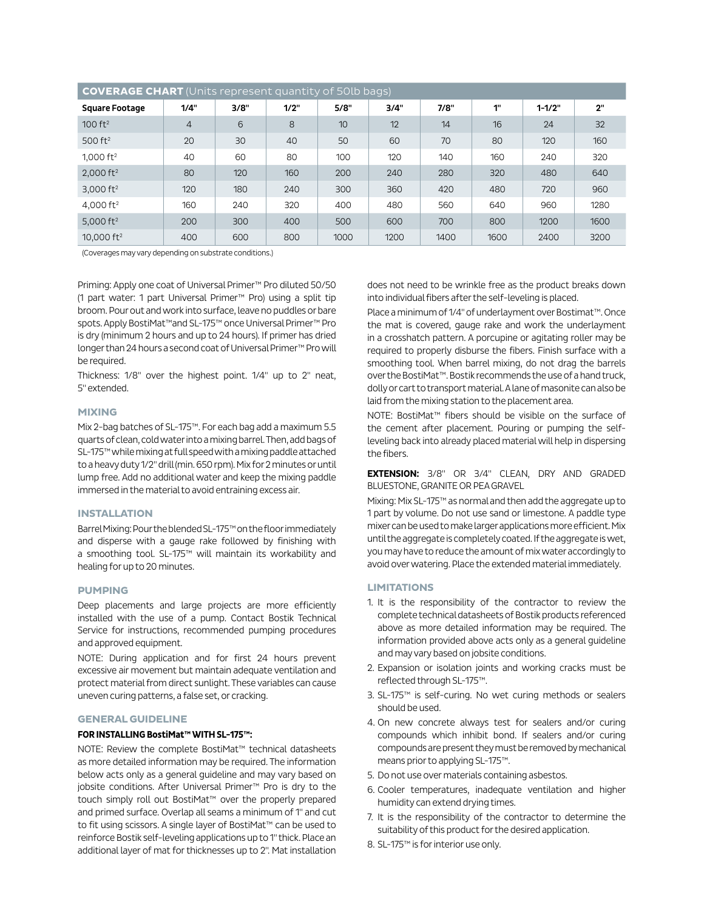| <b>COVERAGE CHART</b> (Units represent quantity of 50lb bags) |                |      |      |      |      |      |      |            |      |  |
|---------------------------------------------------------------|----------------|------|------|------|------|------|------|------------|------|--|
| <b>Square Footage</b>                                         | 1/4"           | 3/8" | 1/2" | 5/8" | 3/4" | 7/8" | 1"   | $1 - 1/2"$ | 2"   |  |
| $100 \text{ ft}^2$                                            | $\overline{4}$ | 6    | 8    | 10   | 12   | 14   | 16   | 24         | 32   |  |
| 500 $ft2$                                                     | 20             | 30   | 40   | 50   | 60   | 70   | 80   | 120        | 160  |  |
| 1,000 $ft^2$                                                  | 40             | 60   | 80   | 100  | 120  | 140  | 160  | 240        | 320  |  |
| $2,000$ ft <sup>2</sup>                                       | 80             | 120  | 160  | 200  | 240  | 280  | 320  | 480        | 640  |  |
| 3,000 $ft2$                                                   | 120            | 180  | 240  | 300  | 360  | 420  | 480  | 720        | 960  |  |
| 4.000 $ft^2$                                                  | 160            | 240  | 320  | 400  | 480  | 560  | 640  | 960        | 1280 |  |
| 5,000 $ft2$                                                   | 200            | 300  | 400  | 500  | 600  | 700  | 800  | 1200       | 1600 |  |
| 10,000 $ft^2$                                                 | 400            | 600  | 800  | 1000 | 1200 | 1400 | 1600 | 2400       | 3200 |  |

(Coverages may vary depending on substrate conditions.)

Priming: Apply one coat of Universal Primer™ Pro diluted 50/50 (1 part water: 1 part Universal Primer™ Pro) using a split tip broom. Pour out and work into surface, leave no puddles or bare spots. Apply BostiMat™and SL-175™ once Universal Primer™ Pro is dry (minimum 2 hours and up to 24 hours). If primer has dried longer than 24 hours a second coat of Universal Primer™ Pro will be required.

Thickness: 1/8" over the highest point. 1/4" up to 2" neat, 5" extended.

#### **MIXING**

Mix 2-bag batches of SL-175™. For each bag add a maximum 5.5 quarts of clean, cold water into a mixing barrel. Then, add bags of SL-175™ while mixing at full speed with a mixing paddle attached to a heavy duty 1/2" drill (min. 650 rpm). Mix for 2 minutes or until lump free. Add no additional water and keep the mixing paddle immersed in the material to avoid entraining excess air.

# **INSTALLATION**

Barrel Mixing: Pour the blended SL-175™ on the floor immediately and disperse with a gauge rake followed by finishing with a smoothing tool. SL-175™ will maintain its workability and healing for up to 20 minutes.

#### **PUMPING**

Deep placements and large projects are more efficiently installed with the use of a pump. Contact Bostik Technical Service for instructions, recommended pumping procedures and approved equipment.

NOTE: During application and for first 24 hours prevent excessive air movement but maintain adequate ventilation and protect material from direct sunlight. These variables can cause uneven curing patterns, a false set, or cracking.

# **GENERAL GUIDELINE**

#### **FOR INSTALLING BostiMat™ WITH SL-175™:**

NOTE: Review the complete BostiMat™ technical datasheets as more detailed information may be required. The information below acts only as a general guideline and may vary based on jobsite conditions. After Universal Primer™ Pro is dry to the touch simply roll out BostiMat™ over the properly prepared and primed surface. Overlap all seams a minimum of 1" and cut to fit using scissors. A single layer of BostiMat™ can be used to reinforce Bostik self-leveling applications up to 1" thick. Place an additional layer of mat for thicknesses up to 2". Mat installation does not need to be wrinkle free as the product breaks down into individual fibers after the self-leveling is placed.

Place a minimum of 1/4" of underlayment over Bostimat™. Once the mat is covered, gauge rake and work the underlayment in a crosshatch pattern. A porcupine or agitating roller may be required to properly disburse the fibers. Finish surface with a smoothing tool. When barrel mixing, do not drag the barrels over the BostiMat™. Bostik recommends the use of a hand truck, dolly or cart to transport material. A lane of masonite can also be laid from the mixing station to the placement area.

NOTE: BostiMat™ fibers should be visible on the surface of the cement after placement. Pouring or pumping the selfleveling back into already placed material will help in dispersing the fibers.

# **EXTENSION:** 3/8" OR 3/4" CLEAN, DRY AND GRADED BLUESTONE, GRANITE OR PEA GRAVEL

Mixing: Mix SL-175™ as normal and then add the aggregate up to 1 part by volume. Do not use sand or limestone. A paddle type mixer can be used to make larger applications more efficient. Mix until the aggregate is completely coated. If the aggregate is wet, you may have to reduce the amount of mix water accordingly to avoid over watering. Place the extended material immediately.

# **LIMITATIONS**

- 1. It is the responsibility of the contractor to review the complete technical datasheets of Bostik products referenced above as more detailed information may be required. The information provided above acts only as a general guideline and may vary based on jobsite conditions.
- 2. Expansion or isolation joints and working cracks must be reflected through SL-175™.
- 3. SL-175™ is self-curing. No wet curing methods or sealers should be used.
- 4. On new concrete always test for sealers and/or curing compounds which inhibit bond. If sealers and/or curing compounds are present they must be removed by mechanical means prior to applying SL-175™.
- 5. Do not use over materials containing asbestos.
- 6. Cooler temperatures, inadequate ventilation and higher humidity can extend drying times.
- 7. It is the responsibility of the contractor to determine the suitability of this product for the desired application.
- 8. SL-175™ is for interior use only.